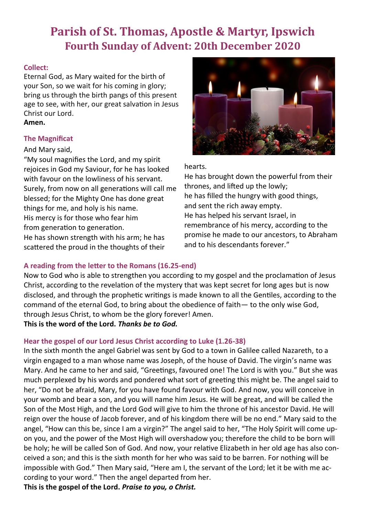# **Parish of St. Thomas, Apostle & Martyr, Ipswich Fourth Sunday of Advent: 20th December 2020**

## **Collect:**

Eternal God, as Mary waited for the birth of your Son, so we wait for his coming in glory; bring us through the birth pangs of this present age to see, with her, our great salvation in Jesus Christ our Lord.

## **Amen.**

# **The Magnificat**

## And Mary said,

"My soul magnifies the Lord, and my spirit rejoices in God my Saviour, for he has looked with favour on the lowliness of his servant. Surely, from now on all generations will call me blessed; for the Mighty One has done great things for me, and holy is his name. His mercy is for those who fear him from generation to generation. He has shown strength with his arm; he has scattered the proud in the thoughts of their



### hearts.

He has brought down the powerful from their thrones, and lifted up the lowly; he has filled the hungry with good things, and sent the rich away empty. He has helped his servant Israel, in remembrance of his mercy, according to the promise he made to our ancestors, to Abraham and to his descendants forever."

# **A reading from the letter to the Romans (16.25-end)**

Now to God who is able to strengthen you according to my gospel and the proclamation of Jesus Christ, according to the revelation of the mystery that was kept secret for long ages but is now disclosed, and through the prophetic writings is made known to all the Gentiles, according to the command of the eternal God, to bring about the obedience of faith— to the only wise God, through Jesus Christ, to whom be the glory forever! Amen. **This is the word of the Lord.** *Thanks be to God.*

# **Hear the gospel of our Lord Jesus Christ according to Luke (1.26-38)**

In the sixth month the angel Gabriel was sent by God to a town in Galilee called Nazareth, to a virgin engaged to a man whose name was Joseph, of the house of David. The virgin's name was Mary. And he came to her and said, "Greetings, favoured one! The Lord is with you." But she was much perplexed by his words and pondered what sort of greeting this might be. The angel said to her, "Do not be afraid, Mary, for you have found favour with God. And now, you will conceive in your womb and bear a son, and you will name him Jesus. He will be great, and will be called the Son of the Most High, and the Lord God will give to him the throne of his ancestor David. He will reign over the house of Jacob forever, and of his kingdom there will be no end." Mary said to the angel, "How can this be, since I am a virgin?" The angel said to her, "The Holy Spirit will come upon you, and the power of the Most High will overshadow you; therefore the child to be born will be holy; he will be called Son of God. And now, your relative Elizabeth in her old age has also conceived a son; and this is the sixth month for her who was said to be barren. For nothing will be impossible with God." Then Mary said, "Here am I, the servant of the Lord; let it be with me according to your word." Then the angel departed from her.

**This is the gospel of the Lord.** *Praise to you, o Christ.*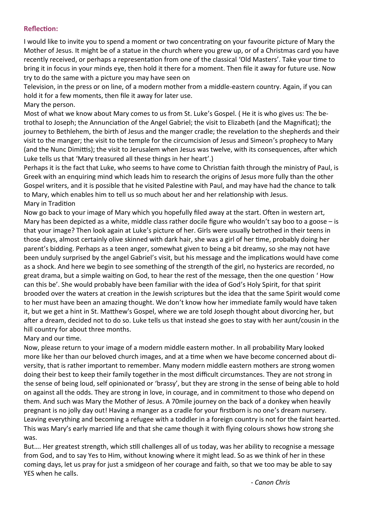### **Reflection:**

I would like to invite you to spend a moment or two concentrating on your favourite picture of Mary the Mother of Jesus. It might be of a statue in the church where you grew up, or of a Christmas card you have recently received, or perhaps a representation from one of the classical 'Old Masters'. Take your time to bring it in focus in your minds eye, then hold it there for a moment. Then file it away for future use. Now try to do the same with a picture you may have seen on

Television, in the press or on line, of a modern mother from a middle-eastern country. Again, if you can hold it for a few moments, then file it away for later use.

Mary the person.

Most of what we know about Mary comes to us from St. Luke's Gospel. ( He it is who gives us: The betrothal to Joseph; the Annunciation of the Angel Gabriel; the visit to Elizabeth (and the Magnificat); the journey to Bethlehem, the birth of Jesus and the manger cradle; the revelation to the shepherds and their visit to the manger; the visit to the temple for the circumcision of Jesus and Simeon's prophecy to Mary (and the Nunc Dimittis); the visit to Jerusalem when Jesus was twelve, with its consequences, after which Luke tells us that 'Mary treasured all these things in her heart'.)

Perhaps it is the fact that Luke, who seems to have come to Christian faith through the ministry of Paul, is Greek with an enquiring mind which leads him to research the origins of Jesus more fully than the other Gospel writers, and it is possible that he visited Palestine with Paul, and may have had the chance to talk to Mary, which enables him to tell us so much about her and her relationship with Jesus. Mary in Tradition

Now go back to your image of Mary which you hopefully filed away at the start. Often in western art, Mary has been depicted as a white, middle class rather docile figure who wouldn't say boo to a goose – is that your image? Then look again at Luke's picture of her. Girls were usually betrothed in their teens in those days, almost certainly olive skinned with dark hair, she was a girl of her time, probably doing her parent's bidding. Perhaps as a teen anger, somewhat given to being a bit dreamy, so she may not have been unduly surprised by the angel Gabriel's visit, but his message and the implications would have come as a shock. And here we begin to see something of the strength of the girl, no hysterics are recorded, no great drama, but a simple waiting on God, to hear the rest of the message, then the one question ' How can this be'. She would probably have been familiar with the idea of God's Holy Spirit, for that spirit brooded over the waters at creation in the Jewish scriptures but the idea that the same Spirit would come to her must have been an amazing thought. We don't know how her immediate family would have taken it, but we get a hint in St. Matthew's Gospel, where we are told Joseph thought about divorcing her, but after a dream, decided not to do so. Luke tells us that instead she goes to stay with her aunt/cousin in the hill country for about three months.

Mary and our time.

Now, please return to your image of a modern middle eastern mother. In all probability Mary looked more like her than our beloved church images, and at a time when we have become concerned about diversity, that is rather important to remember. Many modern middle eastern mothers are strong women doing their best to keep their family together in the most difficult circumstances. They are not strong in the sense of being loud, self opinionated or 'brassy', but they are strong in the sense of being able to hold on against all the odds. They are strong in love, in courage, and in commitment to those who depend on them. And such was Mary the Mother of Jesus. A 70mile journey on the back of a donkey when heavily pregnant is no jolly day out! Having a manger as a cradle for your firstborn is no one's dream nursery. Leaving everything and becoming a refugee with a toddler in a foreign country is not for the faint hearted. This was Mary's early married life and that she came though it with flying colours shows how strong she was.

But…. Her greatest strength, which still challenges all of us today, was her ability to recognise a message from God, and to say Yes to Him, without knowing where it might lead. So as we think of her in these coming days, let us pray for just a smidgeon of her courage and faith, so that we too may be able to say YES when he calls.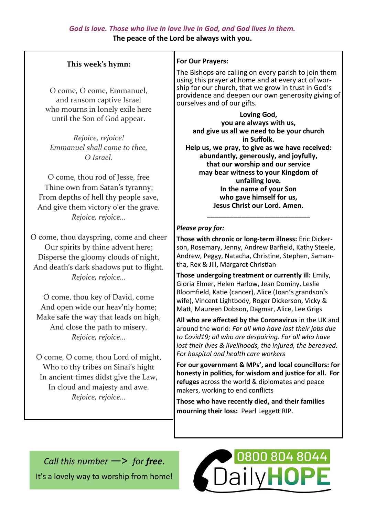## **This week's hymn:**

O come, O come, Emmanuel, and ransom captive Israel who mourns in lonely exile here until the Son of God appear.

*Rejoice, rejoice! Emmanuel shall come to thee, O Israel.*

O come, thou rod of Jesse, free Thine own from Satan's tyranny; From depths of hell thy people save, And give them victory o'er the grave. *Rejoice, rejoice...*

O come, thou dayspring, come and cheer Our spirits by thine advent here; Disperse the gloomy clouds of night, And death's dark shadows put to flight. *Rejoice, rejoice...*

O come, thou key of David, come And open wide our heav'nly home; Make safe the way that leads on high, And close the path to misery. *Rejoice, rejoice...*

O come, O come, thou Lord of might, Who to thy tribes on Sinai's hight In ancient times didst give the Law, In cloud and majesty and awe. *Rejoice, rejoice...*

## **For Our Prayers:**

The Bishops are calling on every parish to join them using this prayer at home and at every act of worship for our church, that we grow in trust in God's providence and deepen our own generosity giving of ourselves and of our gifts.

**Loving God, you are always with us, and give us all we need to be your church in Suffolk. Help us, we pray, to give as we have received: abundantly, generously, and joyfully, that our worship and our service may bear witness to your Kingdom of unfailing love. In the name of your Son who gave himself for us, Jesus Christ our Lord. Amen.**

### *Please pray for:*

**Those with chronic or long-term illness:** Eric Dickerson, Rosemary, Jenny, Andrew Barfield, Kathy Steele, Andrew, Peggy, Natacha, Christine, Stephen, Samantha, Rex & Jill, Margaret Christian

**\_\_\_\_\_\_\_\_\_\_\_\_\_\_\_\_\_\_\_\_\_\_\_\_\_\_\_**

**Those undergoing treatment or currently ill:** Emily, Gloria Elmer, Helen Harlow, Jean Dominy, Leslie Bloomfield, Katie (cancer), Alice (Joan's grandson's wife), Vincent Lightbody, Roger Dickerson, Vicky & Matt, Maureen Dobson, Dagmar, Alice, Lee Grigs

**All who are affected by the Coronavirus** in the UK and around the world: *For all who have lost their jobs due to Covid19; all who are despairing. For all who have lost their lives & livelihoods, the injured, the bereaved. For hospital and health care workers*

**For our government & MPs', and local councillors: for honesty in politics, for wisdom and justice for all. For refuges** across the world & diplomates and peace makers, working to end conflicts

**Those who have recently died, and their families mourning their loss:** Pearl Leggett RIP.

*Call this number* —> *for free*. It's a lovely way to worship from home!